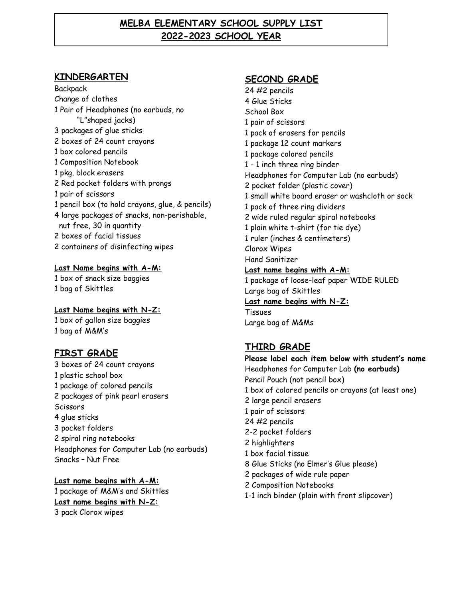### **MELBA ELEMENTARY SCHOOL SUPPLY LIST 2022-2023 SCHOOL YEAR**

#### **KINDERGARTEN**

**Backpack** Change of clothes 1 Pair of Headphones (no earbuds, no "L"shaped jacks) 3 packages of glue sticks 2 boxes of 24 count crayons 1 box colored pencils 1 Composition Notebook 1 pkg. block erasers 2 Red pocket folders with prongs 1 pair of scissors 1 pencil box (to hold crayons, glue, & pencils) 4 large packages of snacks, non-perishable, nut free, 30 in quantity 2 boxes of facial tissues 2 containers of disinfecting wipes

**Last Name begins with A-M:** 1 box of snack size baggies 1 bag of Skittles

**Last Name begins with N-Z:** 1 box of gallon size baggies 1 bag of M&M's

### **FIRST GRADE**

3 boxes of 24 count crayons 1 plastic school box 1 package of colored pencils 2 packages of pink pearl erasers **Scissors** 4 glue sticks 3 pocket folders 2 spiral ring notebooks Headphones for Computer Lab (no earbuds) Snacks – Nut Free

**Last name begins with A-M:** 1 package of M&M's and Skittles **Last name begins with N-Z:** 3 pack Clorox wipes

### **SECOND GRADE**

24 #2 pencils 4 Glue Sticks School Box 1 pair of scissors 1 pack of erasers for pencils 1 package 12 count markers 1 package colored pencils 1 - 1 inch three ring binder Headphones for Computer Lab (no earbuds) 2 pocket folder (plastic cover) 1 small white board eraser or washcloth or sock 1 pack of three ring dividers 2 wide ruled regular spiral notebooks 1 plain white t-shirt (for tie dye) 1 ruler (inches & centimeters) Clorox Wipes Hand Sanitizer **Last name begins with A-M:** 1 package of loose-leaf paper WIDE RULED Large bag of Skittles **Last name begins with N-Z:** Tissues Large bag of M&Ms

### **THIRD GRADE**

**Please label each item below with student's name** Headphones for Computer Lab **(no earbuds)** Pencil Pouch (not pencil box) 1 box of colored pencils or crayons (at least one) 2 large pencil erasers 1 pair of scissors 24 #2 pencils 2-2 pocket folders 2 highlighters 1 box facial tissue 8 Glue Sticks (no Elmer's Glue please) 2 packages of wide rule paper 2 Composition Notebooks 1-1 inch binder (plain with front slipcover)